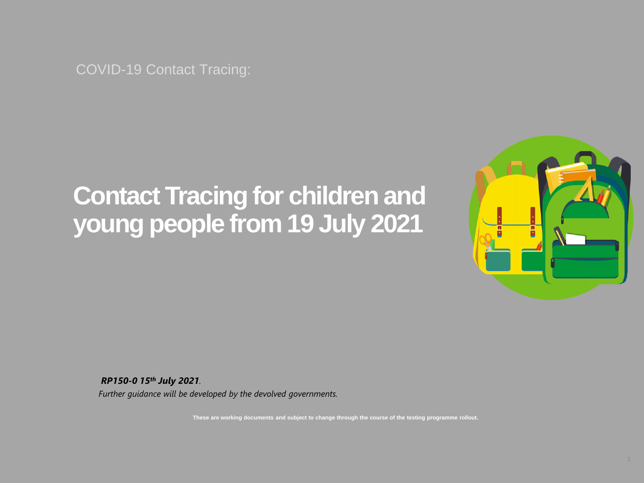COVID-19 Contact Tracing:

# **Contact Tracing for children and young people from 19 July 2021**



*RP150-0 15th July 2021. Further guidance will be developed by the devolved governments.*

**These are working documents and subject to change through the course of the testing programme rollout.**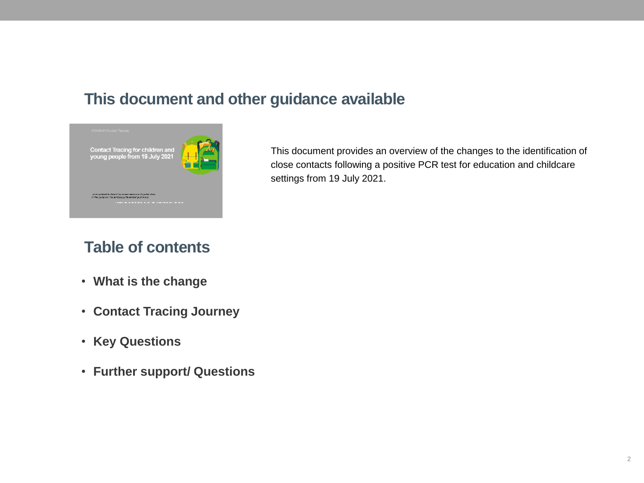### **This document and other guidance available**



This document provides an overview of the changes to the identification of close contacts following a positive PCR test for education and childcare settings from 19 July 2021.

## **Table of contents**

- **What is the change**
- **Contact Tracing Journey**
- **Key Questions**
- **Further support/ Questions**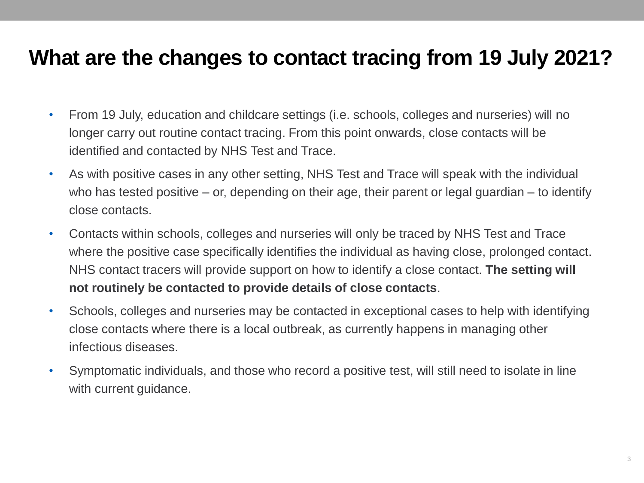## **What are the changes to contact tracing from 19 July 2021?**

- From 19 July, education and childcare settings (i.e. schools, colleges and nurseries) will no longer carry out routine contact tracing. From this point onwards, close contacts will be identified and contacted by NHS Test and Trace.
- As with positive cases in any other setting, NHS Test and Trace will speak with the individual who has tested positive – or, depending on their age, their parent or legal guardian – to identify close contacts.
- Contacts within schools, colleges and nurseries will only be traced by NHS Test and Trace where the positive case specifically identifies the individual as having close, prolonged contact. NHS contact tracers will provide support on how to identify a close contact. **The setting will not routinely be contacted to provide details of close contacts**.
- Schools, colleges and nurseries may be contacted in exceptional cases to help with identifying close contacts where there is a local outbreak, as currently happens in managing other infectious diseases.
- Symptomatic individuals, and those who record a positive test, will still need to isolate in line with current guidance.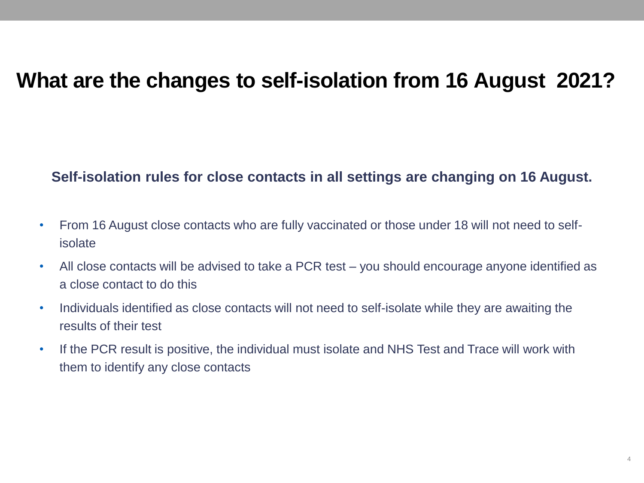## **What are the changes to self-isolation from 16 August 2021?**

#### **Self-isolation rules for close contacts in all settings are changing on 16 August.**

- From 16 August close contacts who are fully vaccinated or those under 18 will not need to selfisolate
- All close contacts will be advised to take a PCR test you should encourage anyone identified as a close contact to do this
- Individuals identified as close contacts will not need to self-isolate while they are awaiting the results of their test
- If the PCR result is positive, the individual must isolate and NHS Test and Trace will work with them to identify any close contacts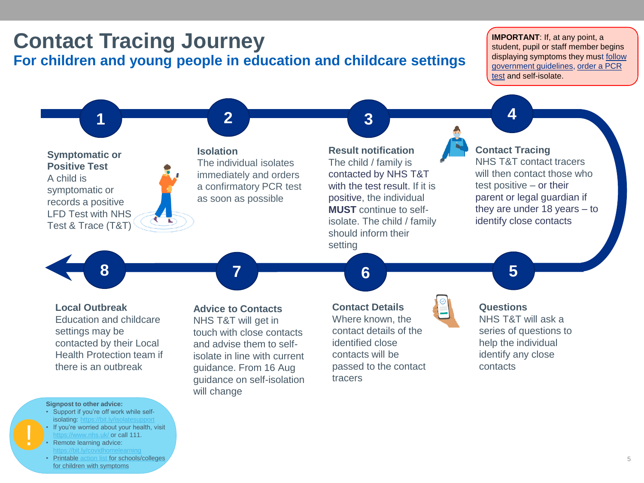## **Contact Tracing Journey For children and young people in education and childcare settings**

**IMPORTANT**: If, at any point, a student, pupil or staff member begins displaying symptoms they must **follow** [government guidelines, order a PCR](https://www.gov.uk/government/news/uk-chief-medical-officers-statement-on-the-self-isolation-period-11-december-2020?utm_source=e6b281ca-e9fd-40ac-bb56-56af2d5194ab&utm_medium=email&utm_campaign=govuk-notifications&utm_content=immediate)  test and self-isolate.



- If you're worried about your health, visit //www.nhs.uk/ **or call 111.**
- Remote learning advice:
- Printable [action list](https://assets.publishing.service.gov.uk/government/uploads/system/uploads/attachment_data/file/928841/Symptomatic_children_action_list_SCHOOLS_FINAL_22-10.pdf) for schools/colleges for children with symptoms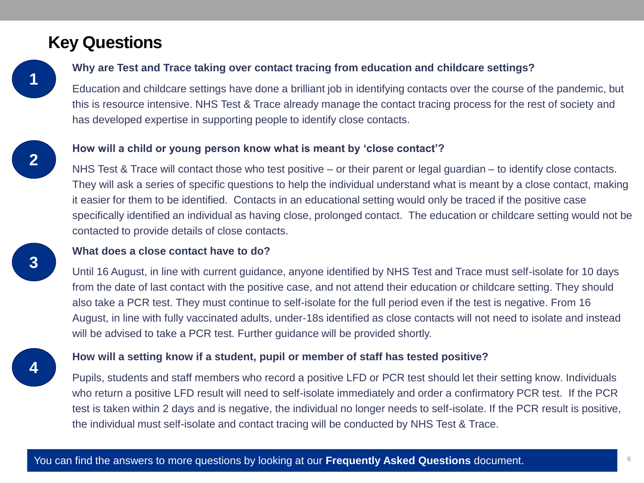### **Key Questions**

**1**

**2**

**3**

#### **Why are Test and Trace taking over contact tracing from education and childcare settings?**

Education and childcare settings have done a brilliant job in identifying contacts over the course of the pandemic, but this is resource intensive. NHS Test & Trace already manage the contact tracing process for the rest of society and has developed expertise in supporting people to identify close contacts.

#### **How will a child or young person know what is meant by 'close contact'?**

NHS Test & Trace will contact those who test positive – or their parent or legal guardian – to identify close contacts. They will ask a series of specific questions to help the individual understand what is meant by a close contact, making it easier for them to be identified. Contacts in an educational setting would only be traced if the positive case specifically identified an individual as having close, prolonged contact. The education or childcare setting would not be contacted to provide details of close contacts.

#### **What does a close contact have to do?**

Until 16 August, in line with current guidance, anyone identified by NHS Test and Trace must self-isolate for 10 days from the date of last contact with the positive case, and not attend their education or childcare setting. They should also take a PCR test. They must continue to self-isolate for the full period even if the test is negative. From 16 August, in line with fully vaccinated adults, under-18s identified as close contacts will not need to isolate and instead will be advised to take a PCR test. Further guidance will be provided shortly.

#### **How will a setting know if a student, pupil or member of staff has tested positive?**

Pupils, students and staff members who record a positive LFD or PCR test should let their setting know. Individuals who return a positive LFD result will need to self-isolate immediately and order a confirmatory PCR test. If the PCR test is taken within 2 days and is negative, the individual no longer needs to self-isolate. If the PCR result is positive, the individual must self-isolate and contact tracing will be conducted by NHS Test & Trace.